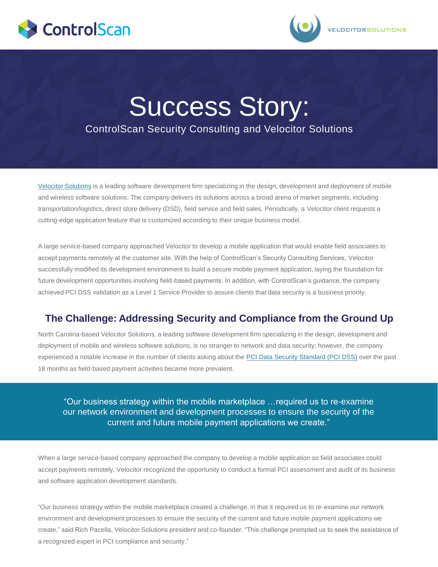



# Success Story: ControlScan Security Consulting and Velocitor Solutions

[Velocitor](http://www.velsol.com/) [Solutions](http://www.velsol.com/) is a leading software development firm specializing in the design, development and deployment of mobile and wireless software solutions. The company delivers its solutions across a broad arena of market segments, including transportation/logistics, direct store delivery (DSD), field service and field sales. Periodically, a Velocitor client requests a cutting-edge application feature that is customized according to their unique business model.

A large service-based company approached Velocitor to develop a mobile application that would enable field associates to accept payments remotely at the customer site. With the help of ControlScan's Security Consulting Services, Velocitor successfully modified its development environment to build a secure mobile payment application, laying the foundation for future development opportunities involving field-based payments. In addition, with ControlScan's guidance, the company achieved PCI DSS validation as a Level 1 Service Provider to assure clients that data security is a business priority.

## **The Challenge: Addressing Security and Compliance from the Ground Up**

North Carolina-based Velocitor Solutions, a leading software development firm specializing in the design, development and deployment of mobile and wireless software solutions, is no stranger to network and data security; however, the company experienced a notable increase in the number of clients asking about the [PCI Data Security Standard \(PCI DSS\)](http://www.pcisecuritystandard.org/) over the past 18 months as field-based payment activities became more prevalent.

"Our business strategy within the mobile marketplace …required us to re-examine our network environment and development processes to ensure the security of the current and future mobile payment applications we create."

When a large service-based company approached the company to develop a mobile application so field associates could accept payments remotely, Velocitor recognized the opportunity to conduct a formal PCI assessment and audit of its business and software application development standards.

"Our business strategy within the mobile marketplace created a challenge, in that it required us to re-examine our network environment and development processes to ensure the security of the current and future mobile payment applications we create," said Rich Pacella, Velocitor Solutions president and co-founder. "This challenge prompted us to seek the assistance of a recognized expert in PCI compliance and security."